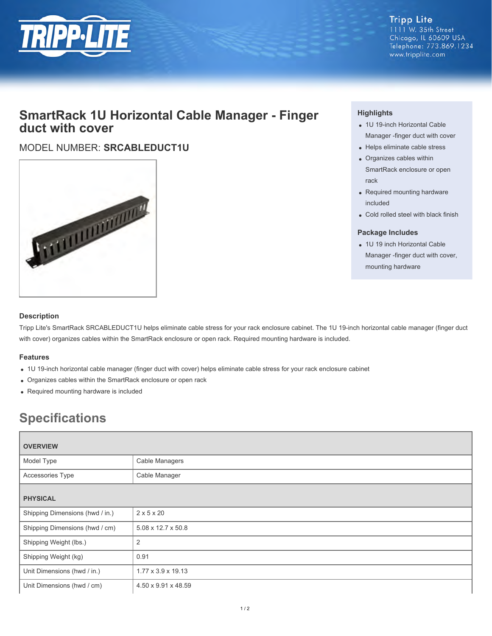

**Tripp Lite** 1111 W. 35th Street Chicago, IL 60609 USA Telephone: 773.869.1234 www.tripplite.com

## **SmartRack 1U Horizontal Cable Manager - Finger duct with cover**

### MODEL NUMBER: **SRCABLEDUCT1U**



#### **Highlights**

- 1U 19-inch Horizontal Cable Manager -finger duct with cover
- Helps eliminate cable stress
- Organizes cables within SmartRack enclosure or open rack
- Required mounting hardware included
- Cold rolled steel with black finish

#### **Package Includes**

• 1U 19 inch Horizontal Cable Manager -finger duct with cover, mounting hardware

#### **Description**

Tripp Lite's SmartRack SRCABLEDUCT1U helps eliminate cable stress for your rack enclosure cabinet. The 1U 19-inch horizontal cable manager (finger duct with cover) organizes cables within the SmartRack enclosure or open rack. Required mounting hardware is included.

#### **Features**

- 1U 19-inch horizontal cable manager (finger duct with cover) helps eliminate cable stress for your rack enclosure cabinet
- Organizes cables within the SmartRack enclosure or open rack
- Required mounting hardware is included

# **Specifications**

| <b>OVERVIEW</b>                 |                        |
|---------------------------------|------------------------|
| Model Type                      | Cable Managers         |
| Accessories Type                | Cable Manager          |
| <b>PHYSICAL</b>                 |                        |
| Shipping Dimensions (hwd / in.) | $2 \times 5 \times 20$ |
| Shipping Dimensions (hwd / cm)  | 5.08 x 12.7 x 50.8     |
| Shipping Weight (lbs.)          | $\overline{2}$         |
| Shipping Weight (kg)            | 0.91                   |
| Unit Dimensions (hwd / in.)     | 1.77 x 3.9 x 19.13     |
| Unit Dimensions (hwd / cm)      | 4.50 x 9.91 x 48.59    |